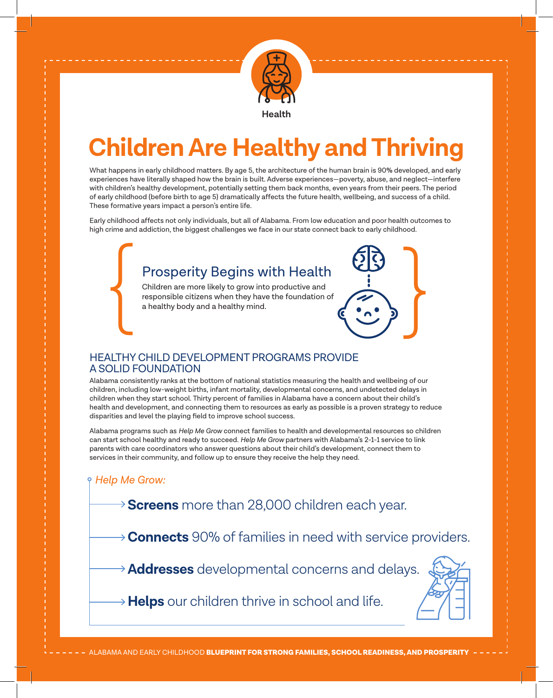

# **Children Are Healthy and Thriving**

What happens in early childhood matters. By age 5, the architecture of the human brain is 90% developed, and early experiences have literally shaped how the brain is built. Adverse experiences—poverty, abuse, and neglect—interfere with children's healthy development, potentially setting them back months, even years from their peers. The period of early childhood (before birth to age 5) dramatically affects the future health, wellbeing, and success of a child. These formative years impact a person's entire life.

Early childhood affects not only individuals, but all of Alabama. From low education and poor health outcomes to high crime and addiction, the biggest challenges we face in our state connect back to early childhood.

# Prosperity Begins with Health

Children are more likely to grow into productive and responsible citizens when they have the foundation of a healthy body and a healthy mind. Prosperity Begins with Health<br>Children are more likely to grow into productive and<br>responsible citizens when they have the foundation of<br>a healthy body and a healthy mind.

## HEALTHY CHILD DEVELOPMENT PROGRAMS PROVIDE A SOLID FOUNDATION

Alabama consistently ranks at the bottom of national statistics measuring the health and wellbeing of our children, including low-weight births, infant mortality, developmental concerns, and undetected delays in children when they start school. Thirty percent of families in Alabama have a concern about their child's health and development, and connecting them to resources as early as possible is a proven strategy to reduce disparities and level the playing field to improve school success.

Alabama programs such as *Help Me Grow* connect families to health and developmental resources so children can start school healthy and ready to succeed. *Help Me Grow* partners with Alabama's 2-1-1 service to link parents with care coordinators who answer questions about their child's development, connect them to services in their community, and follow up to ensure they receive the help they need.

## *Help Me Grow:*

**Screens** more than 28,000 children each year.

**Connects** 90% of families in need with service providers.

**Addresses** developmental concerns and delays.



**Helps** our children thrive in school and life.